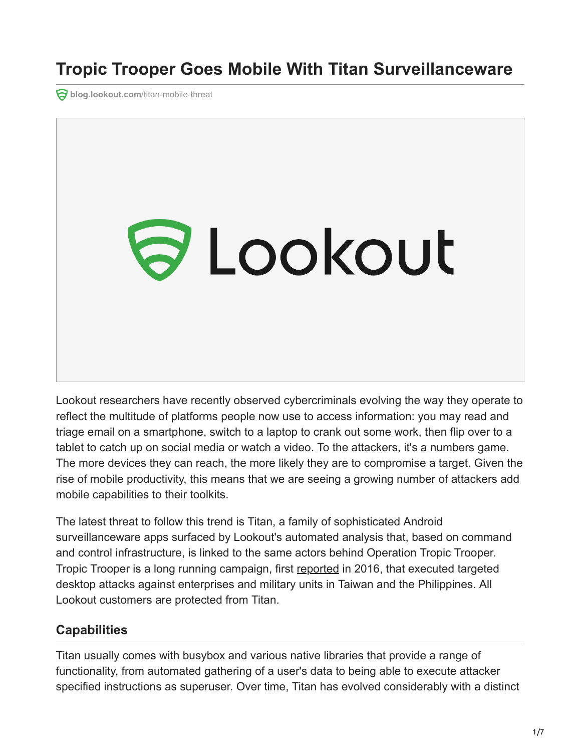**ablog.lookout.com[/titan-mobile-threat](https://blog.lookout.com/titan-mobile-threat)** 



Lookout researchers have recently observed cybercriminals evolving the way they operate to reflect the multitude of platforms people now use to access information: you may read and triage email on a smartphone, switch to a laptop to crank out some work, then flip over to a tablet to catch up on social media or watch a video. To the attackers, it's a numbers game. The more devices they can reach, the more likely they are to compromise a target. Given the rise of mobile productivity, this means that we are seeing a growing number of attackers add mobile capabilities to their toolkits.

The latest threat to follow this trend is Titan, a family of sophisticated Android surveillanceware apps surfaced by Lookout's automated analysis that, based on command and control infrastructure, is linked to the same actors behind Operation Tropic Trooper. Tropic Trooper is a long running campaign, first [reported](https://www.trendmicro.de/cloud-content/us/pdfs/security-intelligence/white-papers/wp-operation-tropic-trooper.pdf) in 2016, that executed targeted desktop attacks against enterprises and military units in Taiwan and the Philippines. All Lookout customers are protected from Titan.

## **Capabilities**

Titan usually comes with busybox and various native libraries that provide a range of functionality, from automated gathering of a user's data to being able to execute attacker specified instructions as superuser. Over time, Titan has evolved considerably with a distinct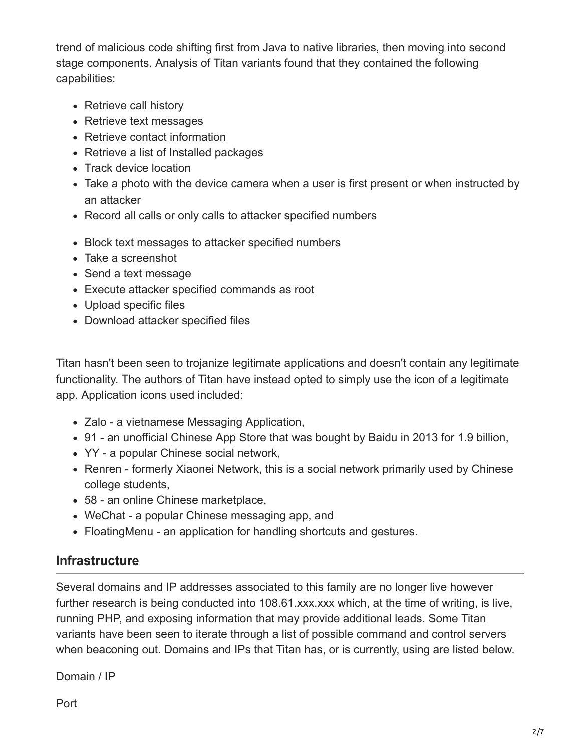trend of malicious code shifting first from Java to native libraries, then moving into second stage components. Analysis of Titan variants found that they contained the following capabilities:

- Retrieve call history
- Retrieve text messages
- Retrieve contact information
- Retrieve a list of Installed packages
- Track device location
- Take a photo with the device camera when a user is first present or when instructed by an attacker
- Record all calls or only calls to attacker specified numbers
- Block text messages to attacker specified numbers
- Take a screenshot
- Send a text message
- Execute attacker specified commands as root
- Upload specific files
- Download attacker specified files

Titan hasn't been seen to trojanize legitimate applications and doesn't contain any legitimate functionality. The authors of Titan have instead opted to simply use the icon of a legitimate app. Application icons used included:

- Zalo a vietnamese Messaging Application,
- 91 an unofficial Chinese App Store that was bought by Baidu in 2013 for 1.9 billion,
- YY a popular Chinese social network,
- Renren formerly Xiaonei Network, this is a social network primarily used by Chinese college students,
- 58 an online Chinese marketplace,
- WeChat a popular Chinese messaging app, and
- FloatingMenu an application for handling shortcuts and gestures.

## **Infrastructure**

Several domains and IP addresses associated to this family are no longer live however further research is being conducted into 108.61 xxx xxx which, at the time of writing, is live, running PHP, and exposing information that may provide additional leads. Some Titan variants have been seen to iterate through a list of possible command and control servers when beaconing out. Domains and IPs that Titan has, or is currently, using are listed below.

Domain / IP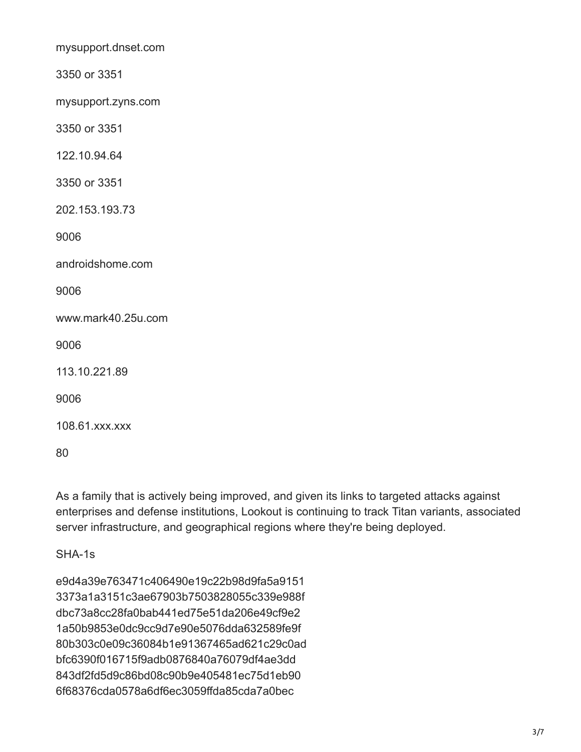mysupport.dnset.com

3350 or 3351

mysupport.zyns.com

3350 or 3351

122.10.94.64

3350 or 3351

202.153.193.73

9006

androidshome.com

9006

www.mark40.25u.com

9006

113.10.221.89

9006

108.61.xxx.xxx

80

As a family that is actively being improved, and given its links to targeted attacks against enterprises and defense institutions, Lookout is continuing to track Titan variants, associated server infrastructure, and geographical regions where they're being deployed.

SHA-1s

e9d4a39e763471c406490e19c22b98d9fa5a9151 3373a1a3151c3ae67903b7503828055c339e988f dbc73a8cc28fa0bab441ed75e51da206e49cf9e2 1a50b9853e0dc9cc9d7e90e5076dda632589fe9f 80b303c0e09c36084b1e91367465ad621c29c0ad bfc6390f016715f9adb0876840a76079df4ae3dd 843df2fd5d9c86bd08c90b9e405481ec75d1eb90 6f68376cda0578a6df6ec3059ffda85cda7a0bec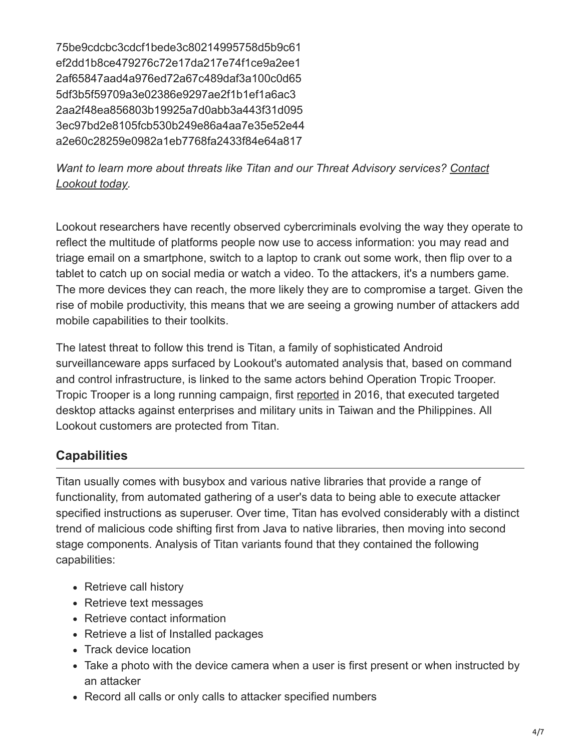75be9cdcbc3cdcf1bede3c80214995758d5b9c61 ef2dd1b8ce479276c72e17da217e74f1ce9a2ee1 2af65847aad4a976ed72a67c489daf3a100c0d65 5df3b5f59709a3e02386e9297ae2f1b1ef1a6ac3 2aa2f48ea856803b19925a7d0abb3a443f31d095 3ec97bd2e8105fcb530b249e86a4aa7e35e52e44 a2e60c28259e0982a1eb7768fa2433f84e64a817

*[Want to learn more about threats like Titan and our Threat Advisory services? Contact](https://www.lookout.com/info/enterprise-contact-us?camp=701i0000001De2A) Lookout today.*

Lookout researchers have recently observed cybercriminals evolving the way they operate to reflect the multitude of platforms people now use to access information: you may read and triage email on a smartphone, switch to a laptop to crank out some work, then flip over to a tablet to catch up on social media or watch a video. To the attackers, it's a numbers game. The more devices they can reach, the more likely they are to compromise a target. Given the rise of mobile productivity, this means that we are seeing a growing number of attackers add mobile capabilities to their toolkits.

The latest threat to follow this trend is Titan, a family of sophisticated Android surveillanceware apps surfaced by Lookout's automated analysis that, based on command and control infrastructure, is linked to the same actors behind Operation Tropic Trooper. Tropic Trooper is a long running campaign, first [reported](https://www.trendmicro.de/cloud-content/us/pdfs/security-intelligence/white-papers/wp-operation-tropic-trooper.pdf) in 2016, that executed targeted desktop attacks against enterprises and military units in Taiwan and the Philippines. All Lookout customers are protected from Titan.

## **Capabilities**

Titan usually comes with busybox and various native libraries that provide a range of functionality, from automated gathering of a user's data to being able to execute attacker specified instructions as superuser. Over time, Titan has evolved considerably with a distinct trend of malicious code shifting first from Java to native libraries, then moving into second stage components. Analysis of Titan variants found that they contained the following capabilities:

- Retrieve call history
- Retrieve text messages
- Retrieve contact information
- Retrieve a list of Installed packages
- Track device location
- Take a photo with the device camera when a user is first present or when instructed by an attacker
- Record all calls or only calls to attacker specified numbers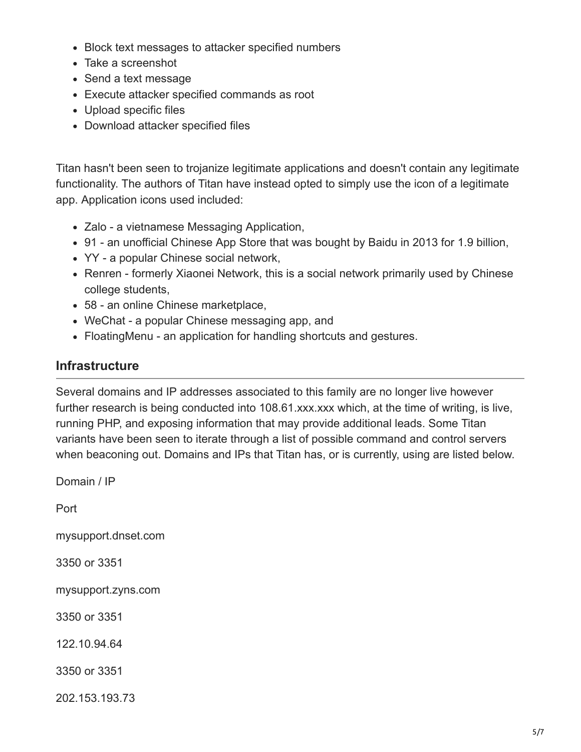- Block text messages to attacker specified numbers
- Take a screenshot
- Send a text message
- Execute attacker specified commands as root
- Upload specific files
- Download attacker specified files

Titan hasn't been seen to trojanize legitimate applications and doesn't contain any legitimate functionality. The authors of Titan have instead opted to simply use the icon of a legitimate app. Application icons used included:

- Zalo a vietnamese Messaging Application,
- 91 an unofficial Chinese App Store that was bought by Baidu in 2013 for 1.9 billion,
- YY a popular Chinese social network,
- Renren formerly Xiaonei Network, this is a social network primarily used by Chinese college students,
- 58 an online Chinese marketplace,
- WeChat a popular Chinese messaging app, and
- FloatingMenu an application for handling shortcuts and gestures.

## **Infrastructure**

Several domains and IP addresses associated to this family are no longer live however further research is being conducted into 108.61 xxx xxx which, at the time of writing, is live, running PHP, and exposing information that may provide additional leads. Some Titan variants have been seen to iterate through a list of possible command and control servers when beaconing out. Domains and IPs that Titan has, or is currently, using are listed below.

Domain / IP

Port

mysupport.dnset.com

3350 or 3351

mysupport.zyns.com

3350 or 3351

122.10.94.64

3350 or 3351

202.153.193.73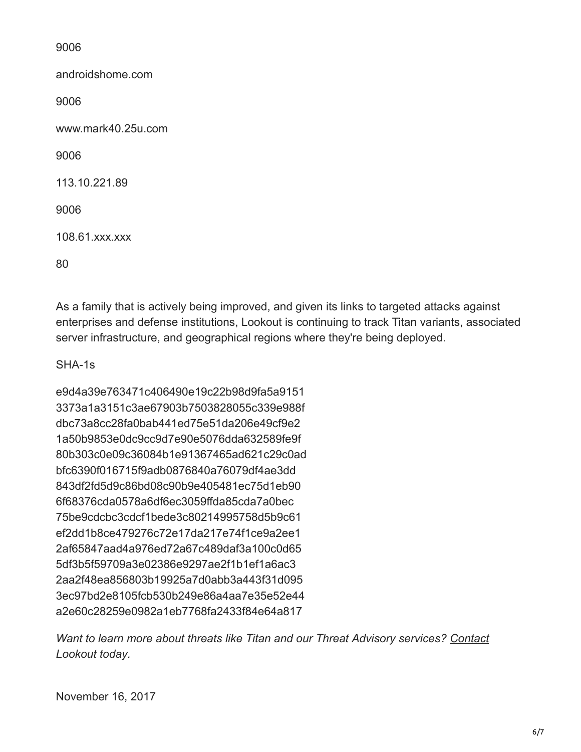9006

androidshome.com 9006 www.mark40.25u.com 9006 113.10.221.89 9006 108.61.xxx.xxx 80

As a family that is actively being improved, and given its links to targeted attacks against enterprises and defense institutions, Lookout is continuing to track Titan variants, associated server infrastructure, and geographical regions where they're being deployed.

SHA-1s

e9d4a39e763471c406490e19c22b98d9fa5a9151 3373a1a3151c3ae67903b7503828055c339e988f dbc73a8cc28fa0bab441ed75e51da206e49cf9e2 1a50b9853e0dc9cc9d7e90e5076dda632589fe9f 80b303c0e09c36084b1e91367465ad621c29c0ad bfc6390f016715f9adb0876840a76079df4ae3dd 843df2fd5d9c86bd08c90b9e405481ec75d1eb90 6f68376cda0578a6df6ec3059ffda85cda7a0bec 75be9cdcbc3cdcf1bede3c80214995758d5b9c61 ef2dd1b8ce479276c72e17da217e74f1ce9a2ee1 2af65847aad4a976ed72a67c489daf3a100c0d65 5df3b5f59709a3e02386e9297ae2f1b1ef1a6ac3 2aa2f48ea856803b19925a7d0abb3a443f31d095 3ec97bd2e8105fcb530b249e86a4aa7e35e52e44 a2e60c28259e0982a1eb7768fa2433f84e64a817

*[Want to learn more about threats like Titan and our Threat Advisory services? Contact](https://www.lookout.com/info/enterprise-contact-us?camp=701i0000001De2A) Lookout today.*